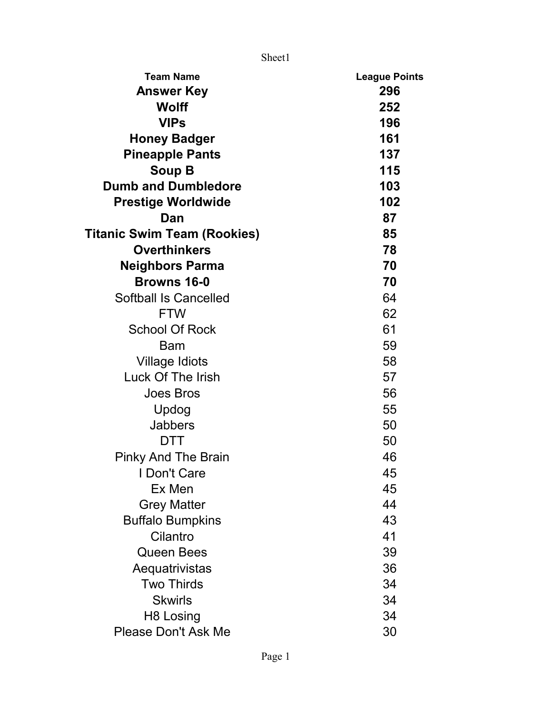Sheet1

| <b>Team Name</b>             | <b>League Points</b> |
|------------------------------|----------------------|
| <b>Answer Key</b>            | 296                  |
| <b>Wolff</b>                 | 252                  |
| <b>VIPs</b>                  | 196                  |
| <b>Honey Badger</b>          | 161                  |
| <b>Pineapple Pants</b>       | 137                  |
| Soup B                       | 115                  |
| <b>Dumb and Dumbledore</b>   | 103                  |
| <b>Prestige Worldwide</b>    | 102                  |
| Dan                          | 87                   |
| Titanic Swim Team (Rookies)  | 85                   |
| <b>Overthinkers</b>          | 78                   |
| <b>Neighbors Parma</b>       | 70                   |
| <b>Browns 16-0</b>           | 70                   |
| <b>Softball Is Cancelled</b> | 64                   |
| <b>FTW</b>                   | 62                   |
| <b>School Of Rock</b>        | 61                   |
| Bam                          | 59                   |
| <b>Village Idiots</b>        | 58                   |
| Luck Of The Irish            | 57                   |
| <b>Joes Bros</b>             | 56                   |
| Updog                        | 55                   |
| <b>Jabbers</b>               | 50                   |
| DTT                          | 50                   |
| <b>Pinky And The Brain</b>   | 46                   |
| I Don't Care                 | 45                   |
| Ex Men                       | 45                   |
| <b>Grey Matter</b>           | 44                   |
| <b>Buffalo Bumpkins</b>      | 43                   |
| Cilantro                     | 41                   |
| <b>Queen Bees</b>            | 39                   |
| Aequatrivistas               | 36                   |
| <b>Two Thirds</b>            | 34                   |
| <b>Skwirls</b>               | 34                   |
| H8 Losing                    | 34                   |
| <b>Please Don't Ask Me</b>   | 30                   |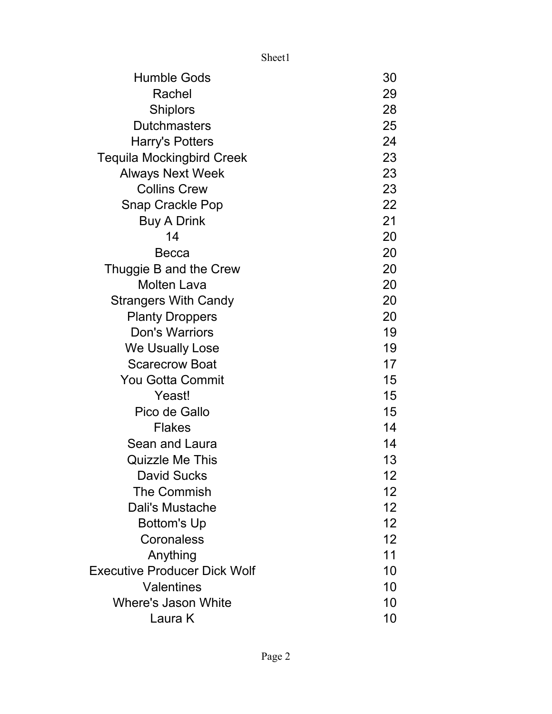|                                     | Sheet1 |    |
|-------------------------------------|--------|----|
| <b>Humble Gods</b>                  |        | 30 |
| Rachel                              |        | 29 |
| <b>Shiplors</b>                     |        | 28 |
| <b>Dutchmasters</b>                 |        | 25 |
| Harry's Potters                     |        | 24 |
| <b>Tequila Mockingbird Creek</b>    |        | 23 |
| <b>Always Next Week</b>             |        | 23 |
| <b>Collins Crew</b>                 |        | 23 |
| <b>Snap Crackle Pop</b>             |        | 22 |
| <b>Buy A Drink</b>                  |        | 21 |
| 14                                  |        | 20 |
| Becca                               |        | 20 |
| Thuggie B and the Crew              |        | 20 |
| <b>Molten Lava</b>                  |        | 20 |
| <b>Strangers With Candy</b>         |        | 20 |
| <b>Planty Droppers</b>              |        | 20 |
| Don's Warriors                      |        | 19 |
| We Usually Lose                     |        | 19 |
| <b>Scarecrow Boat</b>               |        | 17 |
| <b>You Gotta Commit</b>             |        | 15 |
| Yeast!                              |        | 15 |
| Pico de Gallo                       |        | 15 |
| <b>Flakes</b>                       |        | 14 |
| Sean and Laura                      |        | 14 |
| <b>Quizzle Me This</b>              |        | 13 |
| <b>David Sucks</b>                  |        | 12 |
| <b>The Commish</b>                  |        | 12 |
| Dali's Mustache                     |        | 12 |
| <b>Bottom's Up</b>                  |        | 12 |
| Coronaless                          |        | 12 |
| Anything                            |        | 11 |
| <b>Executive Producer Dick Wolf</b> |        | 10 |
| Valentines                          |        | 10 |
| <b>Where's Jason White</b>          |        | 10 |
| Laura K                             |        | 10 |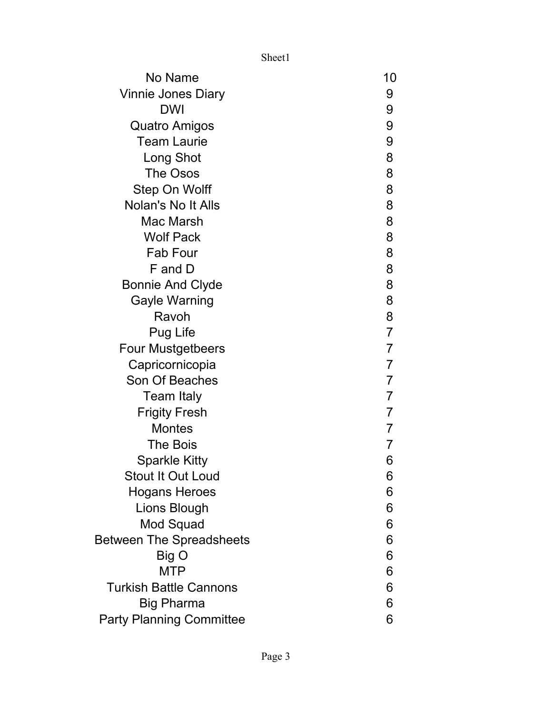Sheet1

| No Name                         | 10             |
|---------------------------------|----------------|
| <b>Vinnie Jones Diary</b>       | 9              |
| <b>DWI</b>                      | 9              |
| <b>Quatro Amigos</b>            | 9              |
| <b>Team Laurie</b>              | 9              |
| Long Shot                       | 8              |
| The Osos                        | 8              |
| Step On Wolff                   | 8              |
| Nolan's No It Alls              | 8              |
| Mac Marsh                       | 8              |
| <b>Wolf Pack</b>                | 8              |
| Fab Four                        | 8              |
| F and D                         | 8              |
| <b>Bonnie And Clyde</b>         | 8              |
| <b>Gayle Warning</b>            | 8              |
| Ravoh                           | 8              |
| Pug Life                        | $\overline{7}$ |
| <b>Four Mustgetbeers</b>        | $\overline{7}$ |
| Capricornicopia                 | $\overline{7}$ |
| Son Of Beaches                  | $\overline{7}$ |
| Team Italy                      | $\overline{7}$ |
| <b>Frigity Fresh</b>            | $\overline{7}$ |
| <b>Montes</b>                   | $\overline{7}$ |
| <b>The Bois</b>                 | $\overline{7}$ |
| <b>Sparkle Kitty</b>            | 6              |
| <b>Stout It Out Loud</b>        | 6              |
| <b>Hogans Heroes</b>            | 6              |
| Lions Blough                    | 6              |
| Mod Squad                       | 6              |
| <b>Between The Spreadsheets</b> | 6              |
| Big O                           | 6              |
| <b>MTP</b>                      | 6              |
| <b>Turkish Battle Cannons</b>   | 6              |
| <b>Big Pharma</b>               | 6              |
| <b>Party Planning Committee</b> | 6              |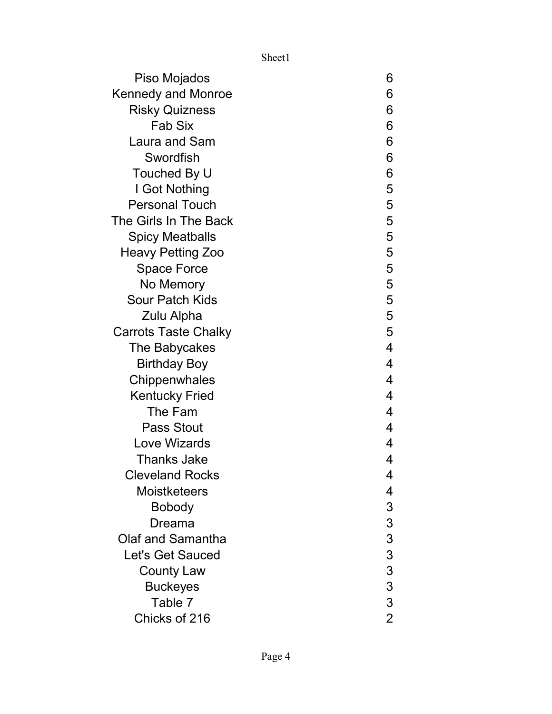Sheet1

| Piso Mojados                | 6                        |
|-----------------------------|--------------------------|
| <b>Kennedy and Monroe</b>   | 6                        |
| <b>Risky Quizness</b>       | 6                        |
| <b>Fab Six</b>              | 6                        |
| Laura and Sam               | 6                        |
| Swordfish                   | 6                        |
| Touched By U                | 6                        |
| I Got Nothing               | 5                        |
| <b>Personal Touch</b>       | 5                        |
| The Girls In The Back       | 5                        |
| <b>Spicy Meatballs</b>      | 5                        |
| <b>Heavy Petting Zoo</b>    | 5                        |
| <b>Space Force</b>          | 5                        |
| No Memory                   | 5                        |
| <b>Sour Patch Kids</b>      | 5                        |
| Zulu Alpha                  | 5                        |
| <b>Carrots Taste Chalky</b> | 5                        |
| The Babycakes               | $\overline{\mathcal{A}}$ |
| <b>Birthday Boy</b>         | $\overline{\mathcal{A}}$ |
| Chippenwhales               | 4                        |
| Kentucky Fried              | $\overline{\mathcal{A}}$ |
| The Fam                     | 4                        |
| <b>Pass Stout</b>           | $\overline{\mathcal{A}}$ |
| Love Wizards                | 4                        |
| <b>Thanks Jake</b>          | 4                        |
| Cleveland Rocks             | 4                        |
| <b>Moistketeers</b>         | 4                        |
| <b>Bobody</b>               | $\mathfrak{S}$           |
| Dreama                      | 3                        |
| Olaf and Samantha           |                          |
| Let's Get Sauced            |                          |
| <b>County Law</b>           |                          |
| <b>Buckeyes</b>             |                          |
| Table 7                     | $3333$<br>$3332$         |
| Chicks of 216               |                          |